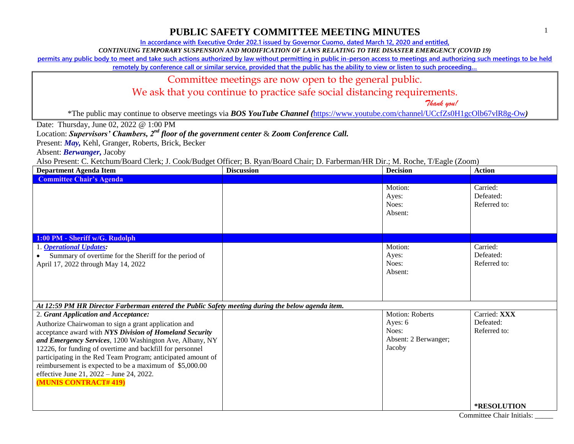1

### **PUBLIC SAFETY COMMITTEE MEETING MINUTES**

**In accordance with Executive Order 202.1 issued by Governor Cuomo, dated March 12, 2020 and entitled,**

*CONTINUING TEMPORARY SUSPENSION AND MODIFICATION OF LAWS RELATING TO THE DISASTER EMERGENCY (COVID 19)*

**permits any public body to meet and take such actions authorized by law without permitting in public in-person access to meetings and authorizing such meetings to be held** 

**remotely by conference call or similar service, provided that the public has the ability to view or listen to such proceeding…**

#### Committee meetings are now open to the general public.

We ask that you continue to practice safe social distancing requirements.

 *Thank you!*

\*The public may continue to observe meetings via *BOS YouTube Channel (*<https://www.youtube.com/channel/UCcfZs0H1gcOlb67vlR8g-Ow>*)*

Date: Thursday, June 02, 2022 @ 1:00 PM

Location: *Supervisors' Chambers, 2nd floor of the government center* & *Zoom Conference Call.*

Present: *May,* Kehl, Granger, Roberts, Brick, Becker

Absent: *Berwanger,* Jacoby

Also Present: C. Ketchum/Board Clerk; J. Cook/Budget Officer; B. Ryan/Board Chair; D. Farberman/HR Dir.; M. Roche, T/Eagle (Zoom)

| <b>Department Agenda Item</b>                                                                                                                                                                                                                                                                                                                                                                                                                                                         | <b>Discussion</b> | <b>Decision</b>                                                              | <b>Action</b>                             |
|---------------------------------------------------------------------------------------------------------------------------------------------------------------------------------------------------------------------------------------------------------------------------------------------------------------------------------------------------------------------------------------------------------------------------------------------------------------------------------------|-------------------|------------------------------------------------------------------------------|-------------------------------------------|
| <b>Committee Chair's Agenda</b>                                                                                                                                                                                                                                                                                                                                                                                                                                                       |                   |                                                                              |                                           |
|                                                                                                                                                                                                                                                                                                                                                                                                                                                                                       |                   | Motion:<br>Ayes:<br>Noes:<br>Absent:                                         | Carried:<br>Defeated:<br>Referred to:     |
| 1:00 PM - Sheriff w/G. Rudolph                                                                                                                                                                                                                                                                                                                                                                                                                                                        |                   |                                                                              |                                           |
| 1. <b>Operational Updates:</b><br>Summary of overtime for the Sheriff for the period of<br>April 17, 2022 through May 14, 2022                                                                                                                                                                                                                                                                                                                                                        |                   | Motion:<br>Ayes:<br>Noes:<br>Absent:                                         | Carried:<br>Defeated:<br>Referred to:     |
| At 12:59 PM HR Director Farberman entered the Public Safety meeting during the below agenda item.                                                                                                                                                                                                                                                                                                                                                                                     |                   |                                                                              |                                           |
| 2. Grant Application and Acceptance:<br>Authorize Chairwoman to sign a grant application and<br>acceptance award with NYS Division of Homeland Security<br>and Emergency Services, 1200 Washington Ave, Albany, NY<br>12226, for funding of overtime and backfill for personnel<br>participating in the Red Team Program; anticipated amount of<br>reimbursement is expected to be a maximum of \$5,000.00<br>effective June 21, 2022 - June 24, 2022.<br><b>(MUNIS CONTRACT#419)</b> |                   | <b>Motion: Roberts</b><br>Ayes: 6<br>Noes:<br>Absent: 2 Berwanger;<br>Jacoby | Carried: XXX<br>Defeated:<br>Referred to: |
|                                                                                                                                                                                                                                                                                                                                                                                                                                                                                       |                   |                                                                              | <b>*RESOLUTION</b>                        |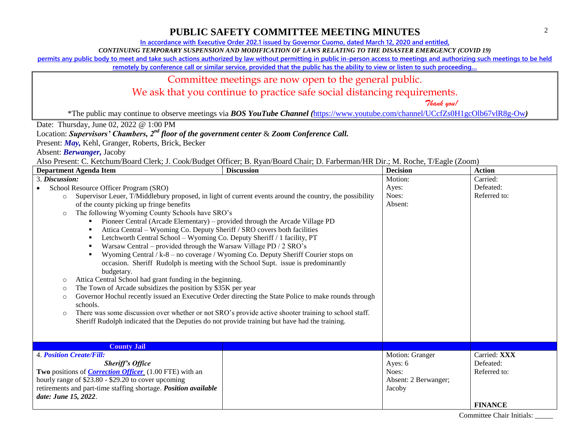**In accordance with Executive Order 202.1 issued by Governor Cuomo, dated March 12, 2020 and entitled,**

*CONTINUING TEMPORARY SUSPENSION AND MODIFICATION OF LAWS RELATING TO THE DISASTER EMERGENCY (COVID 19)*

**permits any public body to meet and take such actions authorized by law without permitting in public in-person access to meetings and authorizing such meetings to be held** 

**remotely by conference call or similar service, provided that the public has the ability to view or listen to such proceeding…**

#### Committee meetings are now open to the general public.

We ask that you continue to practice safe social distancing requirements.

 *Thank you!*

\*The public may continue to observe meetings via *BOS YouTube Channel (*<https://www.youtube.com/channel/UCcfZs0H1gcOlb67vlR8g-Ow>*)*

Date: Thursday, June 02, 2022 @ 1:00 PM

Location: *Supervisors' Chambers, 2nd floor of the government center* & *Zoom Conference Call.*

Present: *May,* Kehl, Granger, Roberts, Brick, Becker

Absent: *Berwanger,* Jacoby

Also Present: C. Ketchum/Board Clerk; J. Cook/Budget Officer; B. Ryan/Board Chair; D. Farberman/HR Dir.; M. Roche, T/Eagle (Zoom)

| <b>Department Agenda Item</b>                                                                                                                                                                                                                                                                                                                                                                                                                                                                                                                                                                                                                                                                                 | <b>Discussion</b>                                                                                                                                                                                                                                                                                                                                                                                                                                                                                                                                                                 | <b>Decision</b>                                                       | <b>Action</b>                                               |
|---------------------------------------------------------------------------------------------------------------------------------------------------------------------------------------------------------------------------------------------------------------------------------------------------------------------------------------------------------------------------------------------------------------------------------------------------------------------------------------------------------------------------------------------------------------------------------------------------------------------------------------------------------------------------------------------------------------|-----------------------------------------------------------------------------------------------------------------------------------------------------------------------------------------------------------------------------------------------------------------------------------------------------------------------------------------------------------------------------------------------------------------------------------------------------------------------------------------------------------------------------------------------------------------------------------|-----------------------------------------------------------------------|-------------------------------------------------------------|
| 3. Discussion:<br>School Resource Officer Program (SRO)<br>$\circ$<br>of the county picking up fringe benefits<br>The following Wyoming County Schools have SRO's<br>$\circ$<br>Attica Central - Wyoming Co. Deputy Sheriff / SRO covers both facilities<br>Letchworth Central School - Wyoming Co. Deputy Sheriff / 1 facility, PT<br>Warsaw Central – provided through the Warsaw Village PD / 2 SRO's<br>budgetary.<br>Attica Central School had grant funding in the beginning.<br>$\circ$<br>The Town of Arcade subsidizes the position by \$35K per year<br>$\circ$<br>$\circ$<br>schools.<br>$\circ$<br>Sheriff Rudolph indicated that the Deputies do not provide training but have had the training. | Supervisor Leuer, T/Middlebury proposed, in light of current events around the country, the possibility<br>Pioneer Central (Arcade Elementary) – provided through the Arcade Village PD<br>Wyoming Central / k-8 – no coverage / Wyoming Co. Deputy Sheriff Courier stops on<br>occasion. Sheriff Rudolph is meeting with the School Supt. issue is predominantly<br>Governor Hochul recently issued an Executive Order directing the State Police to make rounds through<br>There was some discussion over whether or not SRO's provide active shooter training to school staff. | Motion:<br>Ayes:<br>Noes:<br>Absent:                                  | Carried:<br>Defeated:<br>Referred to:                       |
| <b>County Jail</b>                                                                                                                                                                                                                                                                                                                                                                                                                                                                                                                                                                                                                                                                                            |                                                                                                                                                                                                                                                                                                                                                                                                                                                                                                                                                                                   |                                                                       |                                                             |
| <b>4. Position Create/Fill:</b><br><b>Sheriff's Office</b><br>Two positions of <i>Correction Officer</i> (1.00 FTE) with an<br>hourly range of \$23.80 - \$29.20 to cover upcoming<br>retirements and part-time staffing shortage. Position available<br>date: June 15, 2022.                                                                                                                                                                                                                                                                                                                                                                                                                                 |                                                                                                                                                                                                                                                                                                                                                                                                                                                                                                                                                                                   | Motion: Granger<br>Ayes: 6<br>Noes:<br>Absent: 2 Berwanger;<br>Jacoby | Carried: XXX<br>Defeated:<br>Referred to:<br><b>FINANCE</b> |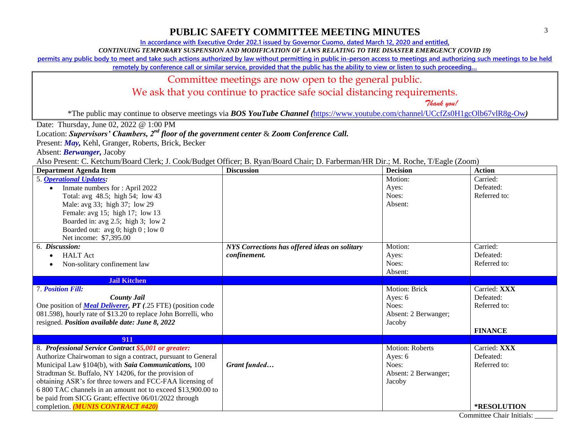**In accordance with Executive Order 202.1 issued by Governor Cuomo, dated March 12, 2020 and entitled,**

*CONTINUING TEMPORARY SUSPENSION AND MODIFICATION OF LAWS RELATING TO THE DISASTER EMERGENCY (COVID 19)*

**permits any public body to meet and take such actions authorized by law without permitting in public in-person access to meetings and authorizing such meetings to be held** 

**remotely by conference call or similar service, provided that the public has the ability to view or listen to such proceeding…**

#### Committee meetings are now open to the general public.

We ask that you continue to practice safe social distancing requirements.

 *Thank you!*

\*The public may continue to observe meetings via *BOS YouTube Channel (*<https://www.youtube.com/channel/UCcfZs0H1gcOlb67vlR8g-Ow>*)*

Date: Thursday, June 02, 2022 @ 1:00 PM

Location: *Supervisors' Chambers, 2nd floor of the government center* & *Zoom Conference Call.*

Present: *May,* Kehl, Granger, Roberts, Brick, Becker

Absent: *Berwanger,* Jacoby

Also Present: C. Ketchum/Board Clerk; J. Cook/Budget Officer; B. Ryan/Board Chair; D. Farberman/HR Dir.; M. Roche, T/Eagle (Zoom)

| <b>Department Agenda Item</b>                                      | <b>Discussion</b>                             | <b>Decision</b>        | <b>Action</b>  |
|--------------------------------------------------------------------|-----------------------------------------------|------------------------|----------------|
| 5. <b>Operational Updates:</b>                                     |                                               | Motion:                | Carried:       |
| Inmate numbers for: April 2022                                     |                                               | Ayes:                  | Defeated:      |
| Total: avg 48.5; high 54; low 43                                   |                                               | Noes:                  | Referred to:   |
| Male: avg 33; high 37; low 29                                      |                                               | Absent:                |                |
| Female: avg 15; high 17; low 13                                    |                                               |                        |                |
| Boarded in: avg 2.5; high 3; low 2                                 |                                               |                        |                |
| Boarded out: avg 0; high 0; low 0                                  |                                               |                        |                |
| Net income: \$7,395.00                                             |                                               |                        |                |
| 6. Discussion:                                                     | NYS Corrections has offered ideas on solitary | Motion:                | Carried:       |
| <b>HALT</b> Act                                                    | confinement.                                  | Ayes:                  | Defeated:      |
| Non-solitary confinement law                                       |                                               | Noes:                  | Referred to:   |
|                                                                    |                                               | Absent:                |                |
| <b>Jail Kitchen</b>                                                |                                               |                        |                |
| <b>7. Position Fill:</b>                                           |                                               | Motion: Brick          | Carried: XXX   |
| <b>County Jail</b>                                                 |                                               | Ayes: 6                | Defeated:      |
| One position of <b>Meal Deliverer, PT</b> (.25 FTE) (position code |                                               | Noes:                  | Referred to:   |
| 081.598), hourly rate of \$13.20 to replace John Borrelli, who     |                                               | Absent: 2 Berwanger;   |                |
| resigned. Position available date: June 8, 2022                    |                                               | Jacoby                 |                |
|                                                                    |                                               |                        | <b>FINANCE</b> |
| 911                                                                |                                               |                        |                |
| 8. Professional Service Contract \$5,001 or greater:               |                                               | <b>Motion: Roberts</b> | Carried: XXX   |
| Authorize Chairwoman to sign a contract, pursuant to General       |                                               | Ayes: 6                | Defeated:      |
| Municipal Law §104(b), with Saia Communications, 100               | Grant funded                                  | Noes:                  | Referred to:   |
| Stradtman St. Buffalo, NY 14206, for the provision of              |                                               | Absent: 2 Berwanger;   |                |
| obtaining ASR's for three towers and FCC-FAA licensing of          |                                               | Jacoby                 |                |
| 6 800 TAC channels in an amount not to exceed \$13,900.00 to       |                                               |                        |                |
| be paid from SICG Grant; effective 06/01/2022 through              |                                               |                        |                |
| completion. (MUNIS CONTRACT #420)                                  |                                               |                        | *RESOLUTION    |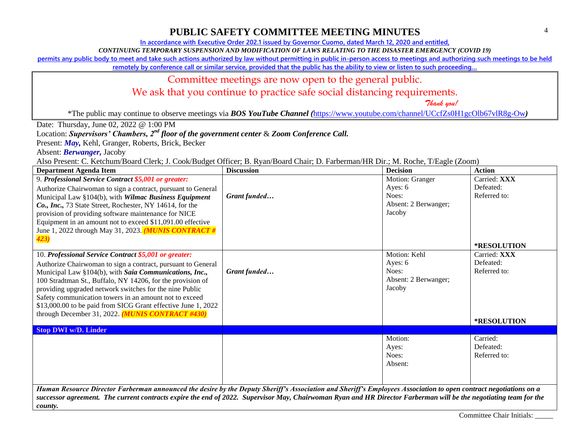**In accordance with Executive Order 202.1 issued by Governor Cuomo, dated March 12, 2020 and entitled,**

*CONTINUING TEMPORARY SUSPENSION AND MODIFICATION OF LAWS RELATING TO THE DISASTER EMERGENCY (COVID 19)*

**permits any public body to meet and take such actions authorized by law without permitting in public in-person access to meetings and authorizing such meetings to be held** 

**remotely by conference call or similar service, provided that the public has the ability to view or listen to such proceeding…**

## Committee meetings are now open to the general public.

We ask that you continue to practice safe social distancing requirements.

 *Thank you!*

\*The public may continue to observe meetings via *BOS YouTube Channel (*<https://www.youtube.com/channel/UCcfZs0H1gcOlb67vlR8g-Ow>*)*

Date: Thursday, June 02, 2022 @ 1:00 PM

Location: *Supervisors' Chambers, 2nd floor of the government center* & *Zoom Conference Call.*

Present: *May,* Kehl, Granger, Roberts, Brick, Becker

Absent: *Berwanger,* Jacoby

Also Present: C. Ketchum/Board Clerk; J. Cook/Budget Officer; B. Ryan/Board Chair; D. Farberman/HR Dir.; M. Roche, T/Eagle (Zoom)

| <b>Department Agenda Item</b>                                                                                                                                     | <b>Discussion</b> | <b>Decision</b>      | <b>Action</b>      |
|-------------------------------------------------------------------------------------------------------------------------------------------------------------------|-------------------|----------------------|--------------------|
| 9. Professional Service Contract \$5,001 or greater:                                                                                                              |                   | Motion: Granger      | Carried: XXX       |
| Authorize Chairwoman to sign a contract, pursuant to General                                                                                                      |                   | Ayes: 6              | Defeated:          |
| Municipal Law §104(b), with Wilmac Business Equipment                                                                                                             | Grant funded      | Noes:                | Referred to:       |
| Co., Inc., 73 State Street, Rochester, NY 14614, for the                                                                                                          |                   | Absent: 2 Berwanger; |                    |
| provision of providing software maintenance for NICE                                                                                                              |                   | Jacoby               |                    |
| Equipment in an amount not to exceed \$11,091.00 effective                                                                                                        |                   |                      |                    |
| June 1, 2022 through May 31, 2023. <i>(MUNIS CONTRACT #</i>                                                                                                       |                   |                      |                    |
| 423)                                                                                                                                                              |                   |                      |                    |
|                                                                                                                                                                   |                   |                      | <b>*RESOLUTION</b> |
| 10. Professional Service Contract \$5,001 or greater:                                                                                                             |                   | Motion: Kehl         | Carried: XXX       |
| Authorize Chairwoman to sign a contract, pursuant to General                                                                                                      |                   | Ayes: 6              | Defeated:          |
| Municipal Law §104(b), with Saia Communications, Inc.,                                                                                                            | Grant funded      | Noes:                | Referred to:       |
| 100 Stradtman St., Buffalo, NY 14206, for the provision of                                                                                                        |                   | Absent: 2 Berwanger; |                    |
| providing upgraded network switches for the nine Public                                                                                                           |                   | Jacoby               |                    |
| Safety communication towers in an amount not to exceed                                                                                                            |                   |                      |                    |
| \$13,000.00 to be paid from SICG Grant effective June 1, 2022                                                                                                     |                   |                      |                    |
| through December 31, 2022. $(MUNIS$ CONTRACT #430)                                                                                                                |                   |                      |                    |
|                                                                                                                                                                   |                   |                      | *RESOLUTION        |
| <b>Stop DWI w/D. Linder</b>                                                                                                                                       |                   |                      |                    |
|                                                                                                                                                                   |                   | Motion:              | Carried:           |
|                                                                                                                                                                   |                   | Ayes:                | Defeated:          |
|                                                                                                                                                                   |                   | Noes:                | Referred to:       |
|                                                                                                                                                                   |                   | Absent:              |                    |
|                                                                                                                                                                   |                   |                      |                    |
|                                                                                                                                                                   |                   |                      |                    |
| Human Resource Director Farberman announced the desire by the Deputy Sheriff's Association and Sheriff's Employees Association to open contract negotiations on a |                   |                      |                    |
| successor agreement. The current contracts expire the end of 2022. Supervisor May, Chairwoman Ryan and HR Director Farberman will be the negotiating team for the |                   |                      |                    |
| county.                                                                                                                                                           |                   |                      |                    |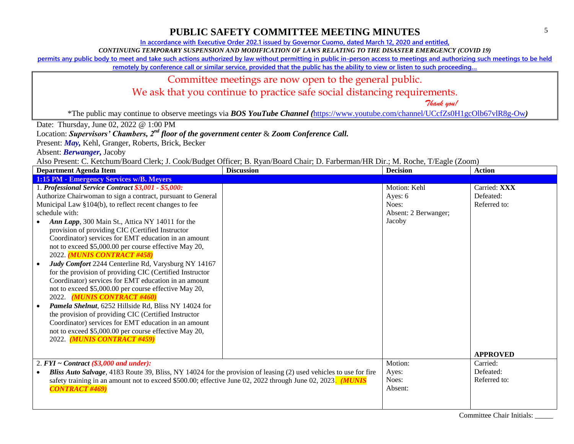**In accordance with Executive Order 202.1 issued by Governor Cuomo, dated March 12, 2020 and entitled,**

*CONTINUING TEMPORARY SUSPENSION AND MODIFICATION OF LAWS RELATING TO THE DISASTER EMERGENCY (COVID 19)*

**permits any public body to meet and take such actions authorized by law without permitting in public in-person access to meetings and authorizing such meetings to be held** 

**remotely by conference call or similar service, provided that the public has the ability to view or listen to such proceeding…**

## Committee meetings are now open to the general public.

We ask that you continue to practice safe social distancing requirements.

 *Thank you!*

\*The public may continue to observe meetings via *BOS YouTube Channel (*<https://www.youtube.com/channel/UCcfZs0H1gcOlb67vlR8g-Ow>*)*

Date: Thursday, June 02, 2022 @ 1:00 PM

Location: *Supervisors' Chambers, 2nd floor of the government center* & *Zoom Conference Call.*

Present: *May,* Kehl, Granger, Roberts, Brick, Becker

Absent: *Berwanger,* Jacoby

Also Present: C. Ketchum/Board Clerk; J. Cook/Budget Officer; B. Ryan/Board Chair; D. Farberman/HR Dir.; M. Roche, T/Eagle (Zoom)

| <b>Discussion</b><br><b>Department Agenda Item</b>                                                                |                      | <b>Action</b>               |
|-------------------------------------------------------------------------------------------------------------------|----------------------|-----------------------------|
| 1:15 PM - Emergency Services w/B. Meyers                                                                          |                      |                             |
| 1. Professional Service Contract \$3,001 - \$5,000:                                                               | Motion: Kehl         | Carried: XXX                |
| Authorize Chairwoman to sign a contract, pursuant to General                                                      | Ayes: 6              | Defeated:                   |
| Municipal Law §104(b), to reflect recent changes to fee                                                           | Noes:                | Referred to:                |
| schedule with:                                                                                                    | Absent: 2 Berwanger; |                             |
| Ann Lapp, 300 Main St., Attica NY 14011 for the                                                                   | Jacoby               |                             |
| provision of providing CIC (Certified Instructor                                                                  |                      |                             |
| Coordinator) services for EMT education in an amount                                                              |                      |                             |
| not to exceed \$5,000.00 per course effective May 20,                                                             |                      |                             |
| 2022. (MUNIS CONTRACT #458)                                                                                       |                      |                             |
| Judy Comfort 2244 Centerline Rd, Varysburg NY 14167                                                               |                      |                             |
| for the provision of providing CIC (Certified Instructor                                                          |                      |                             |
| Coordinator) services for EMT education in an amount                                                              |                      |                             |
| not to exceed \$5,000.00 per course effective May 20,                                                             |                      |                             |
| 2022. (MUNIS CONTRACT #460)                                                                                       |                      |                             |
| Pamela Shelnut, 6252 Hillside Rd, Bliss NY 14024 for                                                              |                      |                             |
| the provision of providing CIC (Certified Instructor                                                              |                      |                             |
| Coordinator) services for EMT education in an amount                                                              |                      |                             |
| not to exceed \$5,000.00 per course effective May 20,                                                             |                      |                             |
| 2022. (MUNIS CONTRACT #459)                                                                                       |                      |                             |
|                                                                                                                   |                      |                             |
|                                                                                                                   |                      | <b>APPROVED</b><br>Carried: |
| 2. $FYI \sim Contract$ (\$3,000 and under):                                                                       | Motion:              |                             |
| Bliss Auto Salvage, 4183 Route 39, Bliss, NY 14024 for the provision of leasing (2) used vehicles to use for fire | Ayes:<br>Noes:       | Defeated:<br>Referred to:   |
| safety training in an amount not to exceed \$500.00; effective June 02, 2022 through June 02, 2023. (MUNIS        | Absent:              |                             |
| <b>CONTRACT #469)</b>                                                                                             |                      |                             |
|                                                                                                                   |                      |                             |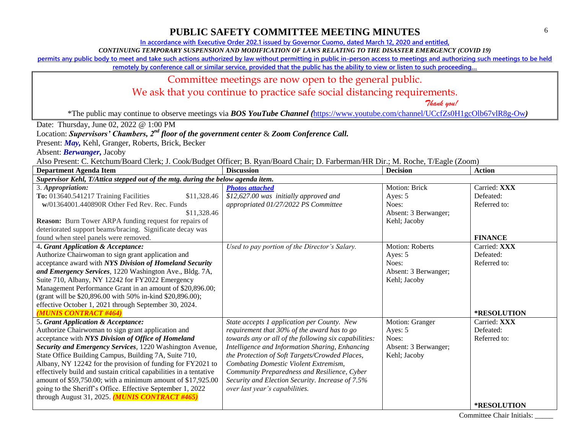**In accordance with Executive Order 202.1 issued by Governor Cuomo, dated March 12, 2020 and entitled,**

*CONTINUING TEMPORARY SUSPENSION AND MODIFICATION OF LAWS RELATING TO THE DISASTER EMERGENCY (COVID 19)*

**permits any public body to meet and take such actions authorized by law without permitting in public in-person access to meetings and authorizing such meetings to be held** 

**remotely by conference call or similar service, provided that the public has the ability to view or listen to such proceeding…**

#### Committee meetings are now open to the general public.

We ask that you continue to practice safe social distancing requirements.

 *Thank you!*

\*The public may continue to observe meetings via *BOS YouTube Channel (*<https://www.youtube.com/channel/UCcfZs0H1gcOlb67vlR8g-Ow>*)*

Date: Thursday, June 02, 2022 @ 1:00 PM

Location: *Supervisors' Chambers, 2nd floor of the government center* & *Zoom Conference Call.*

Present: *May,* Kehl, Granger, Roberts, Brick, Becker

Absent: *Berwanger,* Jacoby

Also Present: C. Ketchum/Board Clerk; J. Cook/Budget Officer; B. Ryan/Board Chair; D. Farberman/HR Dir.; M. Roche, T/Eagle (Zoom)

| <b>Department Agenda Item</b>                                                                                                                                                                                                                                                                                                                                                                                                                                                                                                                                                           | <b>Discussion</b>                                                                                                                                                                                                                                                                                                                                                                                                                       | <b>Decision</b>                                                                    | <b>Action</b>                                            |  |
|-----------------------------------------------------------------------------------------------------------------------------------------------------------------------------------------------------------------------------------------------------------------------------------------------------------------------------------------------------------------------------------------------------------------------------------------------------------------------------------------------------------------------------------------------------------------------------------------|-----------------------------------------------------------------------------------------------------------------------------------------------------------------------------------------------------------------------------------------------------------------------------------------------------------------------------------------------------------------------------------------------------------------------------------------|------------------------------------------------------------------------------------|----------------------------------------------------------|--|
| Supervisor Kehl, T/Attica stepped out of the mtg. during the below agenda item.                                                                                                                                                                                                                                                                                                                                                                                                                                                                                                         |                                                                                                                                                                                                                                                                                                                                                                                                                                         |                                                                                    |                                                          |  |
| 3. Appropriation:<br>To: 013640.541217 Training Facilities<br>\$11,328.46<br>w/01364001.440890R Other Fed Rev. Rec. Funds<br>\$11,328.46<br><b>Reason:</b> Burn Tower ARPA funding request for repairs of<br>deteriorated support beams/bracing. Significate decay was                                                                                                                                                                                                                                                                                                                  | <b>Photos attached</b><br>\$12,627.00 was initially approved and<br>appropriated 01/27/2022 PS Committee                                                                                                                                                                                                                                                                                                                                | Motion: Brick<br>Ayes: 5<br>Noes:<br>Absent: 3 Berwanger;<br>Kehl; Jacoby          | Carried: XXX<br>Defeated:<br>Referred to:                |  |
| found when steel panels were removed.                                                                                                                                                                                                                                                                                                                                                                                                                                                                                                                                                   |                                                                                                                                                                                                                                                                                                                                                                                                                                         |                                                                                    | <b>FINANCE</b>                                           |  |
| 4. Grant Application & Acceptance:<br>Authorize Chairwoman to sign grant application and<br>acceptance award with NYS Division of Homeland Security<br>and Emergency Services, 1220 Washington Ave., Bldg. 7A,<br>Suite 710, Albany, NY 12242 for FY2022 Emergency<br>Management Performance Grant in an amount of \$20,896.00;<br>(grant will be \$20,896.00 with 50% in-kind \$20,896.00);<br>effective October 1, 2021 through September 30, 2024.<br>(MUNIS CONTRACT #464)                                                                                                          | Used to pay portion of the Director's Salary.                                                                                                                                                                                                                                                                                                                                                                                           | <b>Motion: Roberts</b><br>Ayes: 5<br>Noes:<br>Absent: 3 Berwanger;<br>Kehl; Jacoby | Carried: XXX<br>Defeated:<br>Referred to:<br>*RESOLUTION |  |
| 5. Grant Application & Acceptance:<br>Authorize Chairwoman to sign grant application and<br>acceptance with NYS Division of Office of Homeland<br>Security and Emergency Services, 1220 Washington Avenue,<br>State Office Building Campus, Building 7A, Suite 710,<br>Albany, NY 12242 for the provision of funding for FY2021 to<br>effectively build and sustain critical capabilities in a tentative<br>amount of \$59,750.00; with a minimum amount of \$17,925.00<br>going to the Sheriff's Office. Effective September 1, 2022<br>through August 31, 2025. (MUNIS CONTRACT #465) | State accepts 1 application per County. New<br>requirement that 30% of the award has to go<br>towards any or all of the following six capabilities:<br>Intelligence and Information Sharing, Enhancing<br>the Protection of Soft Targets/Crowded Places,<br>Combating Domestic Violent Extremism,<br>Community Preparedness and Resilience, Cyber<br>Security and Election Security. Increase of 7.5%<br>over last year's capabilities. | Motion: Granger<br>Ayes: 5<br>Noes:<br>Absent: 3 Berwanger;<br>Kehl; Jacoby        | Carried: XXX<br>Defeated:<br>Referred to:                |  |
|                                                                                                                                                                                                                                                                                                                                                                                                                                                                                                                                                                                         |                                                                                                                                                                                                                                                                                                                                                                                                                                         |                                                                                    | *RESOLUTION                                              |  |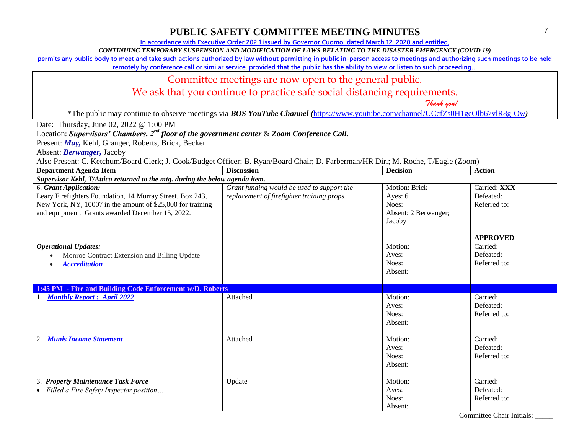**In accordance with Executive Order 202.1 issued by Governor Cuomo, dated March 12, 2020 and entitled,**

*CONTINUING TEMPORARY SUSPENSION AND MODIFICATION OF LAWS RELATING TO THE DISASTER EMERGENCY (COVID 19)*

**permits any public body to meet and take such actions authorized by law without permitting in public in-person access to meetings and authorizing such meetings to be held** 

**remotely by conference call or similar service, provided that the public has the ability to view or listen to such proceeding…**

#### Committee meetings are now open to the general public.

We ask that you continue to practice safe social distancing requirements.

 *Thank you!*

\*The public may continue to observe meetings via *BOS YouTube Channel (*<https://www.youtube.com/channel/UCcfZs0H1gcOlb67vlR8g-Ow>*)*

Date: Thursday, June 02, 2022 @ 1:00 PM

Location: *Supervisors' Chambers, 2nd floor of the government center* & *Zoom Conference Call.*

Present: *May,* Kehl, Granger, Roberts, Brick, Becker

Absent: *Berwanger,* Jacoby

Also Present: C. Ketchum/Board Clerk; J. Cook/Budget Officer; B. Ryan/Board Chair; D. Farberman/HR Dir.; M. Roche, T/Eagle (Zoom)

| <b>Department Agenda Item</b>                                                                                                                                                                        | <b>Discussion</b>                                                                        | <b>Decision</b>                                                            | <b>Action</b>                                            |  |  |
|------------------------------------------------------------------------------------------------------------------------------------------------------------------------------------------------------|------------------------------------------------------------------------------------------|----------------------------------------------------------------------------|----------------------------------------------------------|--|--|
|                                                                                                                                                                                                      | Supervisor Kehl, T/Attica returned to the mtg. during the below agenda item.             |                                                                            |                                                          |  |  |
| 6. Grant Application:<br>Leary Firefighters Foundation, 14 Murray Street, Box 243,<br>New York, NY, 10007 in the amount of \$25,000 for training<br>and equipment. Grants awarded December 15, 2022. | Grant funding would be used to support the<br>replacement of firefighter training props. | <b>Motion: Brick</b><br>Ayes: 6<br>Noes:<br>Absent: 2 Berwanger;<br>Jacoby | Carried: XXX<br>Defeated:<br>Referred to:                |  |  |
| <b>Operational Updates:</b><br>Monroe Contract Extension and Billing Update<br><b>Accreditation</b>                                                                                                  |                                                                                          | Motion:<br>Ayes:<br>Noes:<br>Absent:                                       | <b>APPROVED</b><br>Carried:<br>Defeated:<br>Referred to: |  |  |
| 1:45 PM - Fire and Building Code Enforcement w/D. Roberts                                                                                                                                            |                                                                                          |                                                                            |                                                          |  |  |
| 1. Monthly Report: April 2022                                                                                                                                                                        | Attached                                                                                 | Motion:<br>Ayes:<br>Noes:<br>Absent:                                       | Carried:<br>Defeated:<br>Referred to:                    |  |  |
| <b>Munis Income Statement</b><br>2.                                                                                                                                                                  | Attached                                                                                 | Motion:<br>Ayes:<br>Noes:<br>Absent:                                       | Carried:<br>Defeated:<br>Referred to:                    |  |  |
| 3. Property Maintenance Task Force<br>• Filled a Fire Safety Inspector position                                                                                                                      | Update                                                                                   | Motion:<br>Ayes:<br>Noes:<br>Absent:                                       | Carried:<br>Defeated:<br>Referred to:                    |  |  |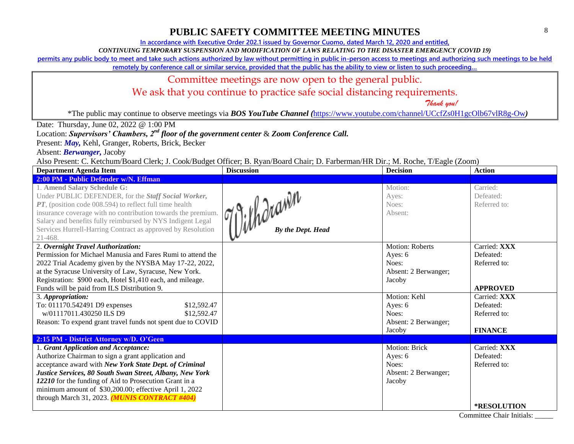**In accordance with Executive Order 202.1 issued by Governor Cuomo, dated March 12, 2020 and entitled,**

*CONTINUING TEMPORARY SUSPENSION AND MODIFICATION OF LAWS RELATING TO THE DISASTER EMERGENCY (COVID 19)*

**permits any public body to meet and take such actions authorized by law without permitting in public in-person access to meetings and authorizing such meetings to be held** 

**remotely by conference call or similar service, provided that the public has the ability to view or listen to such proceeding…**

#### Committee meetings are now open to the general public.

We ask that you continue to practice safe social distancing requirements.

 *Thank you!*

\*The public may continue to observe meetings via *BOS YouTube Channel (*<https://www.youtube.com/channel/UCcfZs0H1gcOlb67vlR8g-Ow>*)*

#### Date: Thursday, June 02, 2022 @ 1:00 PM

Location: *Supervisors' Chambers, 2nd floor of the government center* & *Zoom Conference Call.*

Present: *May,* Kehl, Granger, Roberts, Brick, Becker

Absent: *Berwanger,* Jacoby

Also Present: C. Ketchum/Board Clerk; J. Cook/Budget Officer; B. Ryan/Board Chair; D. Farberman/HR Dir.; M. Roche, T/Eagle (Zoom)

| Theo Frequence of Executating Douter City, v. Cook Dueget Officer, D. Kyun Douter Chan, D. Furocritian Title Dir., Int. Roche, T/Dagle (2001h)<br><b>Department Agenda Item</b>                                                                                                                                                                              | <b>Discussion</b>                 | <b>Decision</b>                      | <b>Action</b>                         |
|--------------------------------------------------------------------------------------------------------------------------------------------------------------------------------------------------------------------------------------------------------------------------------------------------------------------------------------------------------------|-----------------------------------|--------------------------------------|---------------------------------------|
| 2:00 PM - Public Defender w/N. Effman                                                                                                                                                                                                                                                                                                                        |                                   |                                      |                                       |
| 1. Amend Salary Schedule G:<br>Under PUBLIC DEFENDER, for the Staff Social Worker,<br>$PT$ , (position code 008.594) to reflect full time health<br>insurance coverage with no contribution towards the premium.<br>Salary and benefits fully reimbursed by NYS Indigent Legal<br>Services Hurrell-Harring Contract as approved by Resolution<br>$21 - 468.$ | 11: Whorawin<br>By the Dept. Head | Motion:<br>Ayes:<br>Noes:<br>Absent: | Carried:<br>Defeated:<br>Referred to: |
| 2. Overnight Travel Authorization:                                                                                                                                                                                                                                                                                                                           |                                   | <b>Motion: Roberts</b>               | Carried: XXX                          |
| Permission for Michael Manusia and Fares Rumi to attend the                                                                                                                                                                                                                                                                                                  |                                   | Ayes: 6                              | Defeated:                             |
| 2022 Trial Academy given by the NYSBA May 17-22, 2022,                                                                                                                                                                                                                                                                                                       |                                   | Noes:                                | Referred to:                          |
| at the Syracuse University of Law, Syracuse, New York.                                                                                                                                                                                                                                                                                                       |                                   | Absent: 2 Berwanger;                 |                                       |
| Registration: \$900 each, Hotel \$1,410 each, and mileage.                                                                                                                                                                                                                                                                                                   |                                   | Jacoby                               |                                       |
| Funds will be paid from ILS Distribution 9.                                                                                                                                                                                                                                                                                                                  |                                   |                                      | <b>APPROVED</b>                       |
| 3. Appropriation:                                                                                                                                                                                                                                                                                                                                            |                                   | Motion: Kehl                         | Carried: XXX                          |
| To: 011170.542491 D9 expenses<br>\$12,592.47                                                                                                                                                                                                                                                                                                                 |                                   | Ayes: 6                              | Defeated:                             |
| w/01117011.430250 ILS D9<br>\$12,592.47                                                                                                                                                                                                                                                                                                                      |                                   | Noes:                                | Referred to:                          |
| Reason: To expend grant travel funds not spent due to COVID                                                                                                                                                                                                                                                                                                  |                                   | Absent: 2 Berwanger;                 |                                       |
|                                                                                                                                                                                                                                                                                                                                                              |                                   | Jacoby                               | <b>FINANCE</b>                        |
| 2:15 PM - District Attorney w/D. O'Geen                                                                                                                                                                                                                                                                                                                      |                                   |                                      |                                       |
| 1. Grant Application and Acceptance:                                                                                                                                                                                                                                                                                                                         |                                   | Motion: Brick                        | Carried: XXX                          |
| Authorize Chairman to sign a grant application and                                                                                                                                                                                                                                                                                                           |                                   | Ayes: 6                              | Defeated:                             |
| acceptance award with New York State Dept. of Criminal                                                                                                                                                                                                                                                                                                       |                                   | Noes:                                | Referred to:                          |
| Justice Services, 80 South Swan Street, Albany, New York                                                                                                                                                                                                                                                                                                     |                                   | Absent: 2 Berwanger;                 |                                       |
| 12210 for the funding of Aid to Prosecution Grant in a                                                                                                                                                                                                                                                                                                       |                                   | Jacoby                               |                                       |
| minimum amount of \$30,200.00; effective April 1, 2022                                                                                                                                                                                                                                                                                                       |                                   |                                      |                                       |
| through March 31, 2023. (MUNIS CONTRACT #404)                                                                                                                                                                                                                                                                                                                |                                   |                                      |                                       |
|                                                                                                                                                                                                                                                                                                                                                              |                                   |                                      | <b>*RESOLUTION</b>                    |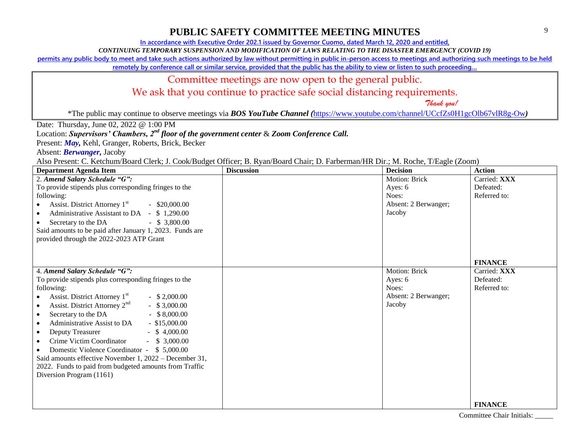**In accordance with Executive Order 202.1 issued by Governor Cuomo, dated March 12, 2020 and entitled,**

*CONTINUING TEMPORARY SUSPENSION AND MODIFICATION OF LAWS RELATING TO THE DISASTER EMERGENCY (COVID 19)*

**permits any public body to meet and take such actions authorized by law without permitting in public in-person access to meetings and authorizing such meetings to be held** 

**remotely by conference call or similar service, provided that the public has the ability to view or listen to such proceeding…**

### Committee meetings are now open to the general public.

We ask that you continue to practice safe social distancing requirements.

 *Thank you!*

\*The public may continue to observe meetings via *BOS YouTube Channel (*<https://www.youtube.com/channel/UCcfZs0H1gcOlb67vlR8g-Ow>*)*

Date: Thursday, June 02, 2022 @ 1:00 PM

Location: *Supervisors' Chambers, 2nd floor of the government center* & *Zoom Conference Call.*

Present: *May,* Kehl, Granger, Roberts, Brick, Becker

Absent: *Berwanger,* Jacoby

Also Present: C. Ketchum/Board Clerk; J. Cook/Budget Officer; B. Ryan/Board Chair; D. Farberman/HR Dir.; M. Roche, T/Eagle (Zoom)

| <b>Department Agenda Item</b>                                             | <b>Discussion</b> | <b>Decision</b>      | <b>Action</b>  |
|---------------------------------------------------------------------------|-------------------|----------------------|----------------|
| 2. Amend Salary Schedule "G":                                             |                   | Motion: Brick        | Carried: XXX   |
| To provide stipends plus corresponding fringes to the                     |                   | Ayes: 6              | Defeated:      |
| following:                                                                |                   | Noes:                | Referred to:   |
| Assist. District Attorney 1 <sup>st</sup><br>$-$ \$20,000.00<br>$\bullet$ |                   | Absent: 2 Berwanger; |                |
| Administrative Assistant to DA - \$1,290.00<br>$\bullet$                  |                   | Jacoby               |                |
| Secretary to the DA<br>$-$ \$ 3,800.00<br>$\bullet$                       |                   |                      |                |
| Said amounts to be paid after January 1, 2023. Funds are                  |                   |                      |                |
| provided through the 2022-2023 ATP Grant                                  |                   |                      |                |
|                                                                           |                   |                      |                |
|                                                                           |                   |                      |                |
|                                                                           |                   |                      | <b>FINANCE</b> |
| 4. Amend Salary Schedule "G":                                             |                   | Motion: Brick        | Carried: XXX   |
| To provide stipends plus corresponding fringes to the                     |                   | Ayes: 6              | Defeated:      |
| following:                                                                |                   | Noes:                | Referred to:   |
| Assist. District Attorney 1 <sup>st</sup><br>$-$ \$ 2,000.00              |                   | Absent: 2 Berwanger; |                |
| Assist. District Attorney 2 <sup>nd</sup><br>$-$ \$ 3,000.00<br>$\bullet$ |                   | Jacoby               |                |
| Secretary to the DA<br>$-$ \$ 8,000.00<br>$\bullet$                       |                   |                      |                |
| Administrative Assist to DA<br>$-$ \$15,000.00<br>$\bullet$               |                   |                      |                |
| $-$ \$ 4,000.00<br>Deputy Treasurer<br>$\bullet$                          |                   |                      |                |
| Crime Victim Coordinator<br>$-$ \$ 3,000.00<br>$\bullet$                  |                   |                      |                |
| Domestic Violence Coordinator - \$5,000.00                                |                   |                      |                |
| Said amounts effective November 1, 2022 – December 31,                    |                   |                      |                |
| 2022. Funds to paid from budgeted amounts from Traffic                    |                   |                      |                |
| Diversion Program (1161)                                                  |                   |                      |                |
|                                                                           |                   |                      |                |
|                                                                           |                   |                      |                |
|                                                                           |                   |                      | <b>FINANCE</b> |